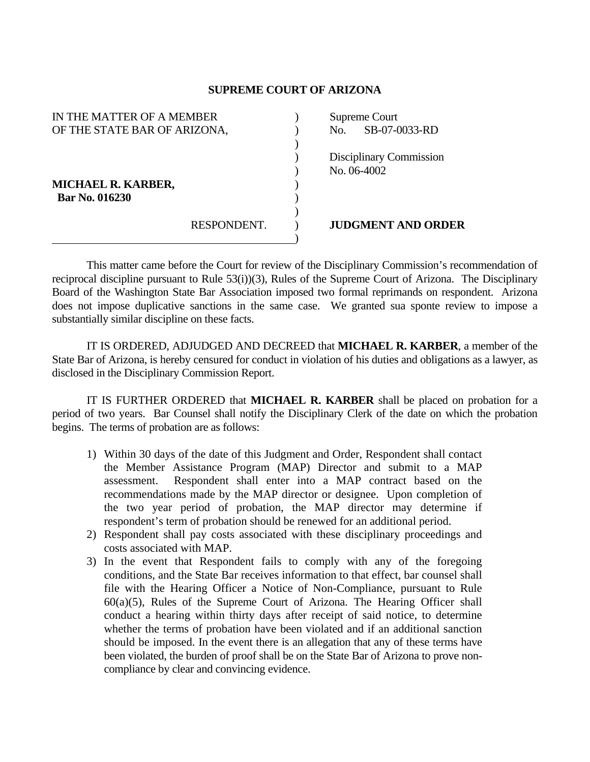## **SUPREME COURT OF ARIZONA**

| IN THE MATTER OF A MEMBER    |             | Supreme Court |                           |
|------------------------------|-------------|---------------|---------------------------|
| OF THE STATE BAR OF ARIZONA, |             | No.           | SB-07-0033-RD             |
|                              |             |               |                           |
|                              |             |               | Disciplinary Commission   |
|                              |             |               | No. 06-4002               |
| <b>MICHAEL R. KARBER,</b>    |             |               |                           |
| <b>Bar No. 016230</b>        |             |               |                           |
|                              |             |               |                           |
|                              | RESPONDENT. |               | <b>JUDGMENT AND ORDER</b> |
|                              |             |               |                           |

 This matter came before the Court for review of the Disciplinary Commission's recommendation of reciprocal discipline pursuant to Rule 53(i))(3), Rules of the Supreme Court of Arizona. The Disciplinary Board of the Washington State Bar Association imposed two formal reprimands on respondent. Arizona does not impose duplicative sanctions in the same case. We granted sua sponte review to impose a substantially similar discipline on these facts.

 IT IS ORDERED, ADJUDGED AND DECREED that **MICHAEL R. KARBER**, a member of the State Bar of Arizona, is hereby censured for conduct in violation of his duties and obligations as a lawyer, as disclosed in the Disciplinary Commission Report.

 IT IS FURTHER ORDERED that **MICHAEL R. KARBER** shall be placed on probation for a period of two years. Bar Counsel shall notify the Disciplinary Clerk of the date on which the probation begins. The terms of probation are as follows:

- 1) Within 30 days of the date of this Judgment and Order, Respondent shall contact the Member Assistance Program (MAP) Director and submit to a MAP assessment. Respondent shall enter into a MAP contract based on the recommendations made by the MAP director or designee. Upon completion of the two year period of probation, the MAP director may determine if respondent's term of probation should be renewed for an additional period.
- 2) Respondent shall pay costs associated with these disciplinary proceedings and costs associated with MAP.
- 3) In the event that Respondent fails to comply with any of the foregoing conditions, and the State Bar receives information to that effect, bar counsel shall file with the Hearing Officer a Notice of Non-Compliance, pursuant to Rule 60(a)(5), Rules of the Supreme Court of Arizona. The Hearing Officer shall conduct a hearing within thirty days after receipt of said notice, to determine whether the terms of probation have been violated and if an additional sanction should be imposed. In the event there is an allegation that any of these terms have been violated, the burden of proof shall be on the State Bar of Arizona to prove noncompliance by clear and convincing evidence.